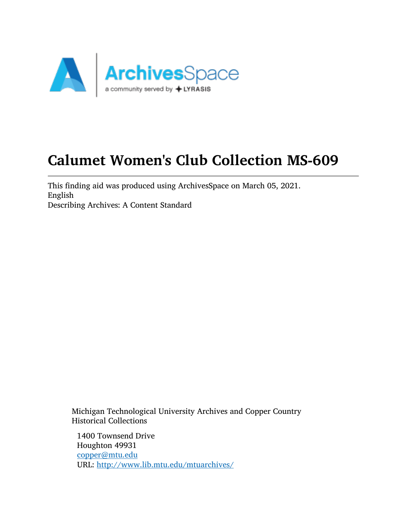

# Calumet Women's Club Collection MS-609

This finding aid was produced using ArchivesSpace on March 05, 2021. English Describing Archives: A Content Standard

Michigan Technological University Archives and Copper Country Historical Collections

1400 Townsend Drive Houghton 49931 [copper@mtu.edu](mailto:copper@mtu.edu) URL: <http://www.lib.mtu.edu/mtuarchives/>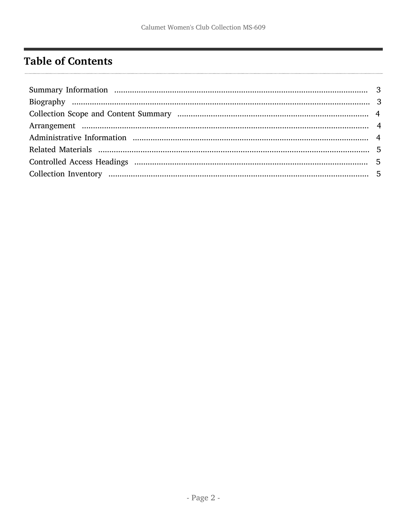## <span id="page-1-0"></span>**Table of Contents**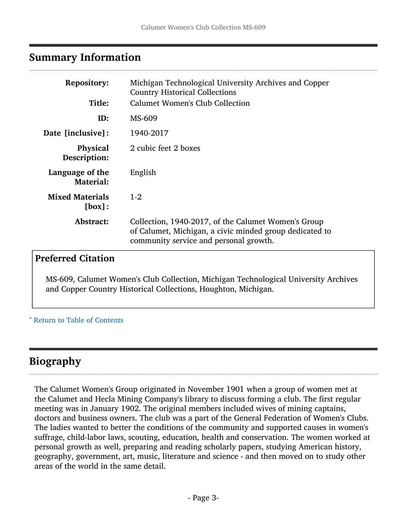## <span id="page-2-0"></span>Summary Information

| <b>Repository:</b>                  | Michigan Technological University Archives and Copper<br><b>Country Historical Collections</b>                                                           |  |  |
|-------------------------------------|----------------------------------------------------------------------------------------------------------------------------------------------------------|--|--|
| Title:                              | Calumet Women's Club Collection                                                                                                                          |  |  |
| ID:                                 | MS-609                                                                                                                                                   |  |  |
| <b>Date [inclusive]:</b>            | 1940-2017                                                                                                                                                |  |  |
| <b>Physical</b><br>Description:     | 2 cubic feet 2 boxes                                                                                                                                     |  |  |
| Language of the<br><b>Material:</b> | English                                                                                                                                                  |  |  |
| <b>Mixed Materials</b><br>[box]:    | $1 - 2$                                                                                                                                                  |  |  |
| <b>Abstract:</b>                    | Collection, 1940-2017, of the Calumet Women's Group<br>of Calumet, Michigan, a civic minded group dedicated to<br>community service and personal growth. |  |  |

#### Preferred Citation

MS-609, Calumet Women's Club Collection, Michigan Technological University Archives and Copper Country Historical Collections, Houghton, Michigan.

#### ^ [Return to Table of Contents](#page-1-0)

## <span id="page-2-1"></span>Biography

The Calumet Women's Group originated in November 1901 when a group of women met at the Calumet and Hecla Mining Company's library to discuss forming a club. The first regular meeting was in January 1902. The original members included wives of mining captains, doctors and business owners. The club was a part of the General Federation of Women's Clubs. The ladies wanted to better the conditions of the community and supported causes in women's suffrage, child-labor laws, scouting, education, health and conservation. The women worked at personal growth as well, preparing and reading scholarly papers, studying American history, geography, government, art, music, literature and science - and then moved on to study other areas of the world in the same detail.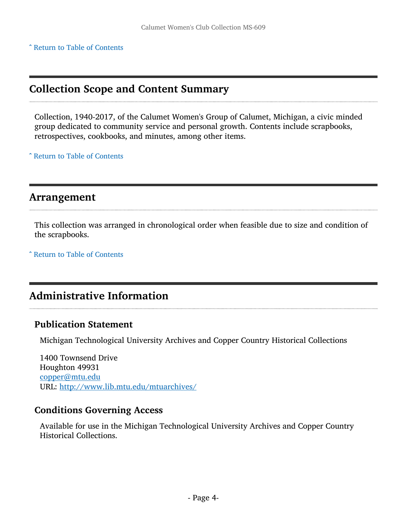^ [Return to Table of Contents](#page-1-0)

## <span id="page-3-0"></span>Collection Scope and Content Summary

Collection, 1940-2017, of the Calumet Women's Group of Calumet, Michigan, a civic minded group dedicated to community service and personal growth. Contents include scrapbooks, retrospectives, cookbooks, and minutes, among other items.

^ [Return to Table of Contents](#page-1-0)

### <span id="page-3-1"></span>Arrangement

This collection was arranged in chronological order when feasible due to size and condition of the scrapbooks.

^ [Return to Table of Contents](#page-1-0)

## <span id="page-3-2"></span>Administrative Information

#### Publication Statement

Michigan Technological University Archives and Copper Country Historical Collections

1400 Townsend Drive Houghton 49931 [copper@mtu.edu](mailto:copper@mtu.edu) URL: <http://www.lib.mtu.edu/mtuarchives/>

#### Conditions Governing Access

Available for use in the Michigan Technological University Archives and Copper Country Historical Collections.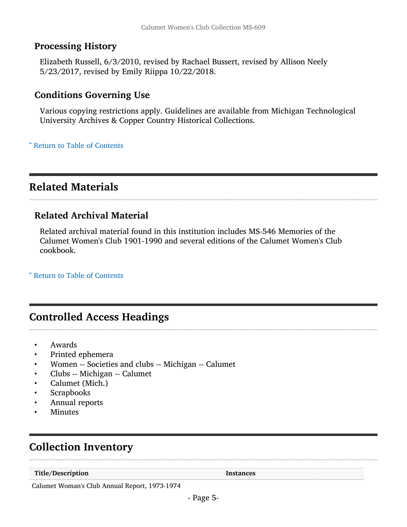#### Processing History

Elizabeth Russell, 6/3/2010, revised by Rachael Bussert, revised by Allison Neely 5/23/2017, revised by Emily Riippa 10/22/2018.

#### Conditions Governing Use

Various copying restrictions apply. Guidelines are available from Michigan Technological University Archives & Copper Country Historical Collections.

^ [Return to Table of Contents](#page-1-0)

## <span id="page-4-0"></span>Related Materials

#### Related Archival Material

Related archival material found in this institution includes MS-546 Memories of the Calumet Women's Club 1901-1990 and several editions of the Calumet Women's Club cookbook.

^ [Return to Table of Contents](#page-1-0)

## <span id="page-4-1"></span>Controlled Access Headings

- Awards
- Printed ephemera
- Women -- Societies and clubs -- Michigan -- Calumet
- Clubs -- Michigan -- Calumet
- Calumet (Mich.)
- **Scrapbooks**
- Annual reports
- **Minutes**

## <span id="page-4-2"></span>Collection Inventory

Title/Description and the set of the set of the set of the set of the set of the set of the set of the set of the set of the set of the set of the set of the set of the set of the set of the set of the set of the set of th